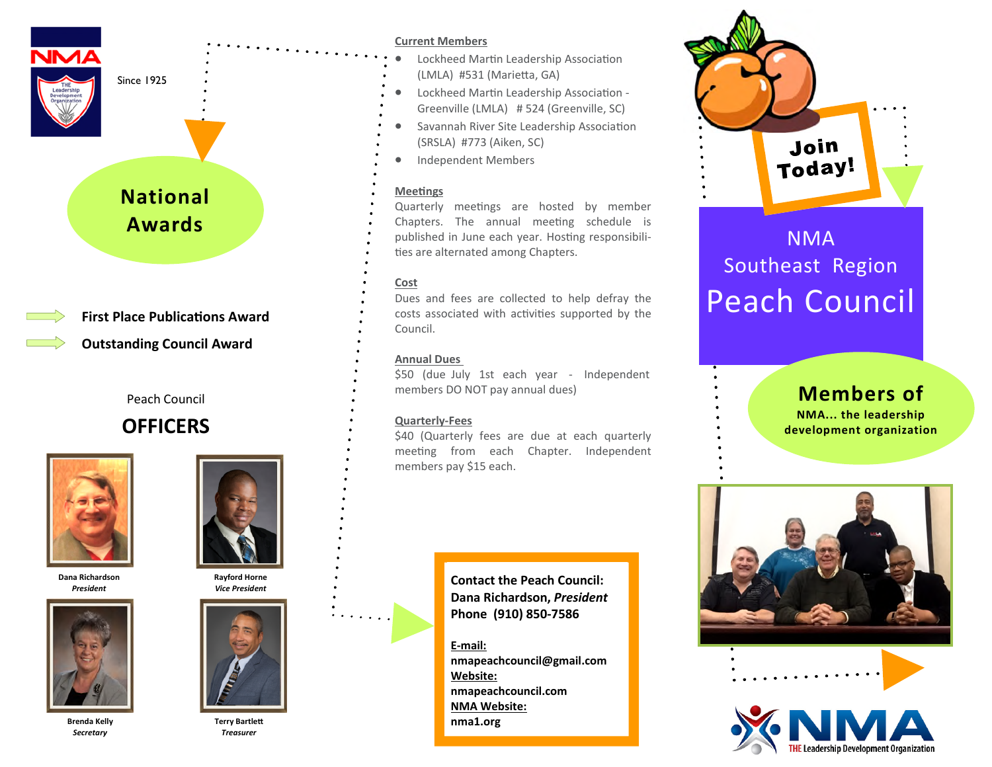

Since 1925

# **National Awards**



Peach Council

## **OFFICERS**



**Dana Richardson**  *President*



**Rayford Horne** 



**Terry Bartle** *Treasurer*

### **Current Members**

- Lockheed Martin Leadership Association (LMLA) #531 (Marietta, GA)
- Lockheed Martin Leadership Association -Greenville (LMLA) # 524 (Greenville, SC)
- Savannah River Site Leadership Association (SRSLA) #773 (Aiken, SC)
- Independent Members

### **Meetings**

Quarterly meetings are hosted by member Chapters. The annual meeting schedule is published in June each year. Hosting responsibilities are alternated among Chapters.

### **Cost**

Dues and fees are collected to help defray the costs associated with activities supported by the Council.

### **Annual Dues**

\$50 (due July 1st each year - Independent members DO NOT pay annual dues)

### **Quarterly-Fees**

\$40 (Quarterly fees are due at each quarterly meeting from each Chapter. Independent members pay \$15 each.

> **Contact the Peach Council: Dana Richardson,** *President* **Phone (910) 850-7586**

**E-mail: nmapeachcouncil@gmail.com Website: nmapeachcouncil.com NMA Website: nma1.org**



# NMA Southeast Region Peach Council

### **Members of**

**NMA... the leadership development organization**



**Brenda Kelly**  *Secretary*



*Vice President*